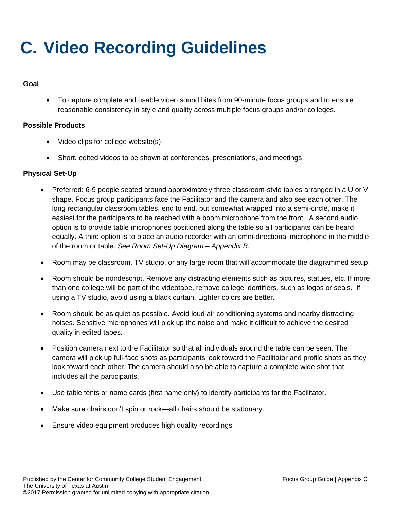# **C. Video Recording Guidelines**

#### **Goal**

 To capture complete and usable video sound bites from 90-minute focus groups and to ensure reasonable consistency in style and quality across multiple focus groups and/or colleges.

## **Possible Products**

- Video clips for college website(s)
- Short, edited videos to be shown at conferences, presentations, and meetings

## **Physical Set-Up**

- Preferred: 6-9 people seated around approximately three classroom-style tables arranged in a U or V shape. Focus group participants face the Facilitator and the camera and also see each other. The long rectangular classroom tables, end to end, but somewhat wrapped into a semi-circle, make it easiest for the participants to be reached with a boom microphone from the front. A second audio option is to provide table microphones positioned along the table so all participants can be heard equally. A third option is to place an audio recorder with an omni-directional microphone in the middle of the room or table. *See Room Set-Up Diagram – Appendix B*.
- Room may be classroom, TV studio, or any large room that will accommodate the diagrammed setup.
- Room should be nondescript. Remove any distracting elements such as pictures, statues, etc. If more than one college will be part of the videotape, remove college identifiers, such as logos or seals. If using a TV studio, avoid using a black curtain. Lighter colors are better.
- Room should be as quiet as possible. Avoid loud air conditioning systems and nearby distracting noises. Sensitive microphones will pick up the noise and make it difficult to achieve the desired quality in edited tapes.
- Position camera next to the Facilitator so that all individuals around the table can be seen. The camera will pick up full-face shots as participants look toward the Facilitator and profile shots as they look toward each other. The camera should also be able to capture a complete wide shot that includes all the participants.
- Use table tents or name cards (first name only) to identify participants for the Facilitator.
- Make sure chairs don't spin or rock—all chairs should be stationary.
- Ensure video equipment produces high quality recordings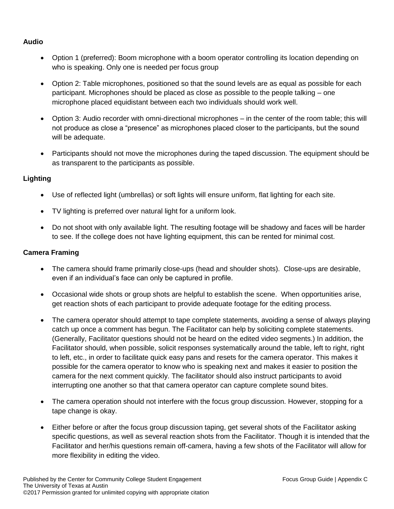## **Audio**

- Option 1 (preferred): Boom microphone with a boom operator controlling its location depending on who is speaking. Only one is needed per focus group
- Option 2: Table microphones, positioned so that the sound levels are as equal as possible for each participant. Microphones should be placed as close as possible to the people talking – one microphone placed equidistant between each two individuals should work well.
- Option 3: Audio recorder with omni-directional microphones in the center of the room table; this will not produce as close a "presence" as microphones placed closer to the participants, but the sound will be adequate.
- Participants should not move the microphones during the taped discussion. The equipment should be as transparent to the participants as possible.

## **Lighting**

- Use of reflected light (umbrellas) or soft lights will ensure uniform, flat lighting for each site.
- TV lighting is preferred over natural light for a uniform look.
- Do not shoot with only available light. The resulting footage will be shadowy and faces will be harder to see. If the college does not have lighting equipment, this can be rented for minimal cost.

## **Camera Framing**

- The camera should frame primarily close-ups (head and shoulder shots). Close-ups are desirable, even if an individual's face can only be captured in profile.
- Occasional wide shots or group shots are helpful to establish the scene. When opportunities arise, get reaction shots of each participant to provide adequate footage for the editing process.
- The camera operator should attempt to tape complete statements, avoiding a sense of always playing catch up once a comment has begun. The Facilitator can help by soliciting complete statements. (Generally, Facilitator questions should not be heard on the edited video segments.) In addition, the Facilitator should, when possible, solicit responses systematically around the table, left to right, right to left, etc., in order to facilitate quick easy pans and resets for the camera operator. This makes it possible for the camera operator to know who is speaking next and makes it easier to position the camera for the next comment quickly. The facilitator should also instruct participants to avoid interrupting one another so that that camera operator can capture complete sound bites.
- The camera operation should not interfere with the focus group discussion. However, stopping for a tape change is okay.
- Either before or after the focus group discussion taping, get several shots of the Facilitator asking specific questions, as well as several reaction shots from the Facilitator. Though it is intended that the Facilitator and her/his questions remain off-camera, having a few shots of the Facilitator will allow for more flexibility in editing the video.